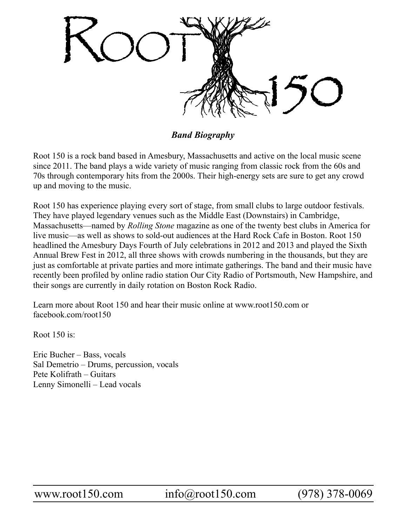

*Band Biography*

Root 150 is a rock band based in Amesbury, Massachusetts and active on the local music scene since 2011. The band plays a wide variety of music ranging from classic rock from the 60s and 70s through contemporary hits from the 2000s. Their high-energy sets are sure to get any crowd up and moving to the music.

Root 150 has experience playing every sort of stage, from small clubs to large outdoor festivals. They have played legendary venues such as the Middle East (Downstairs) in Cambridge, Massachusetts—named by *Rolling Stone* magazine as one of the twenty best clubs in America for live music—as well as shows to sold-out audiences at the Hard Rock Cafe in Boston. Root 150 headlined the Amesbury Days Fourth of July celebrations in 2012 and 2013 and played the Sixth Annual Brew Fest in 2012, all three shows with crowds numbering in the thousands, but they are just as comfortable at private parties and more intimate gatherings. The band and their music have recently been profiled by online radio station Our City Radio of Portsmouth, New Hampshire, and their songs are currently in daily rotation on Boston Rock Radio.

Learn more about Root 150 and hear their music online at www.root150.com or facebook.com/root150

Root 150 is:

Eric Bucher – Bass, vocals Sal Demetrio – Drums, percussion, vocals Pete Kolifrath – Guitars Lenny Simonelli – Lead vocals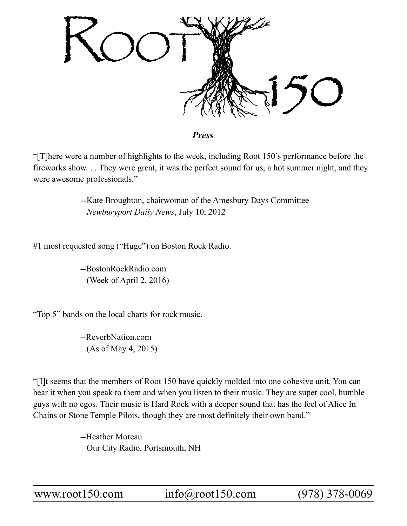

*Press*

"[T]here were a number of highlights to the week, including Root 150's performance before the fireworks show. . . They were great, it was the perfect sound for us, a hot summer night, and they were awesome professionals."

> --Kate Broughton, chairwoman of the Amesbury Days Committee  *Newburyport Daily News*, July 10, 2012

#1 most requested song ("Huge") on Boston Rock Radio.

--BostonRockRadio.com (Week of April 2, 2016)

"Top 5" bands on the local charts for rock music.

--ReverbNation.com (As of May 4, 2015)

"[I]t seems that the members of Root 150 have quickly molded into one cohesive unit. You can hear it when you speak to them and when you listen to their music. They are super cool, humble guys with no egos. Their music is Hard Rock with a deeper sound that has the feel of Alice In Chains or Stone Temple Pilots, though they are most definitely their own band."

> --Heather Moreau Our City Radio, Portsmouth, NH

www.root150.com info@root150.com (978) 378-0069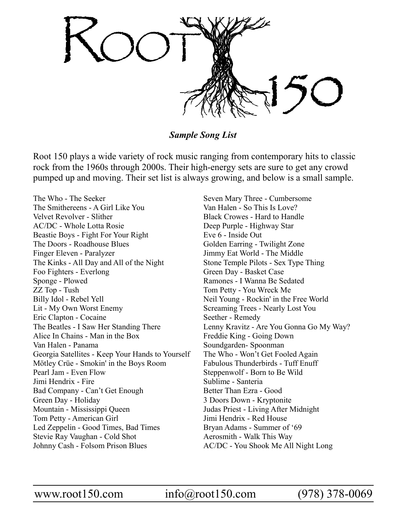

*Sample Song List*

Root 150 plays a wide variety of rock music ranging from contemporary hits to classic rock from the 1960s through 2000s. Their high-energy sets are sure to get any crowd pumped up and moving. Their set list is always growing, and below is a small sample.

The Who - The Seeker The Smithereens - A Girl Like You Velvet Revolver - Slither AC/DC - Whole Lotta Rosie Beastie Boys - Fight For Your Right The Doors - Roadhouse Blues Finger Eleven - Paralyzer The Kinks - All Day and All of the Night Foo Fighters - Everlong Sponge - Plowed ZZ Top - Tush Billy Idol - Rebel Yell Lit - My Own Worst Enemy Eric Clapton - Cocaine The Beatles - I Saw Her Standing There Alice In Chains - Man in the Box Van Halen - Panama Georgia Satellites - Keep Your Hands to Yourself Mötley Crüe - Smokin' in the Boys Room Pearl Jam - Even Flow Jimi Hendrix - Fire Bad Company - Can't Get Enough Green Day - Holiday Mountain - Mississippi Queen Tom Petty - American Girl Led Zeppelin - Good Times, Bad Times Stevie Ray Vaughan - Cold Shot Johnny Cash - Folsom Prison Blues

Seven Mary Three - Cumbersome Van Halen - So This Is Love? Black Crowes - Hard to Handle Deep Purple - Highway Star Eve 6 - Inside Out Golden Earring - Twilight Zone Jimmy Eat World - The Middle Stone Temple Pilots - Sex Type Thing Green Day - Basket Case Ramones - I Wanna Be Sedated Tom Petty - You Wreck Me Neil Young - Rockin' in the Free World Screaming Trees - Nearly Lost You Seether - Remedy Lenny Kravitz - Are You Gonna Go My Way? Freddie King - Going Down Soundgarden- Spoonman The Who - Won't Get Fooled Again Fabulous Thunderbirds - Tuff Enuff Steppenwolf - Born to Be Wild Sublime - Santeria Better Than Ezra - Good 3 Doors Down - Kryptonite Judas Priest - Living After Midnight Jimi Hendrix - Red House Bryan Adams - Summer of '69 Aerosmith - Walk This Way AC/DC - You Shook Me All Night Long

www.root150.com info@root150.com (978) 378-0069